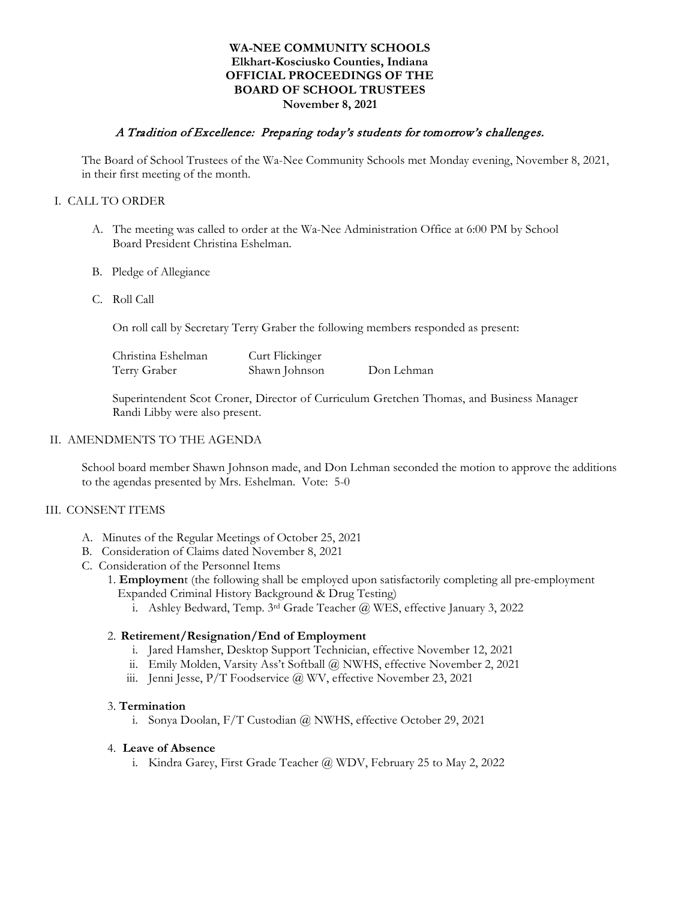## **WA-NEE COMMUNITY SCHOOLS Elkhart-Kosciusko Counties, Indiana OFFICIAL PROCEEDINGS OF THE BOARD OF SCHOOL TRUSTEES November 8, 2021**

## A Tradition of Excellence: Preparing today's students for tomorrow's challenges.

The Board of School Trustees of the Wa-Nee Community Schools met Monday evening, November 8, 2021, in their first meeting of the month.

### I. CALL TO ORDER

- A. The meeting was called to order at the Wa-Nee Administration Office at 6:00 PM by School Board President Christina Eshelman.
- B. Pledge of Allegiance
- C. Roll Call

On roll call by Secretary Terry Graber the following members responded as present:

| Christina Eshelman | Curt Flickinger |            |
|--------------------|-----------------|------------|
| Terry Graber       | Shawn Johnson   | Don Lehman |

Superintendent Scot Croner, Director of Curriculum Gretchen Thomas, and Business Manager Randi Libby were also present.

#### II. AMENDMENTS TO THE AGENDA

School board member Shawn Johnson made, and Don Lehman seconded the motion to approve the additions to the agendas presented by Mrs. Eshelman. Vote: 5-0

#### III. CONSENT ITEMS

- A. Minutes of the Regular Meetings of October 25, 2021
- B. Consideration of Claims dated November 8, 2021
- C. Consideration of the Personnel Items
	- 1. **Employmen**t (the following shall be employed upon satisfactorily completing all pre-employment Expanded Criminal History Background & Drug Testing)
		- i. Ashley Bedward, Temp. 3rd Grade Teacher @ WES, effective January 3, 2022

### 2. **Retirement/Resignation/End of Employment**

- i. Jared Hamsher, Desktop Support Technician, effective November 12, 2021
- ii. Emily Molden, Varsity Ass't Softball @ NWHS, effective November 2, 2021
- iii. Jenni Jesse, P/T Foodservice @ WV, effective November 23, 2021

### 3. **Termination**

i. Sonya Doolan, F/T Custodian @ NWHS, effective October 29, 2021

#### 4. **Leave of Absence**

i. Kindra Garey, First Grade Teacher @ WDV, February 25 to May 2, 2022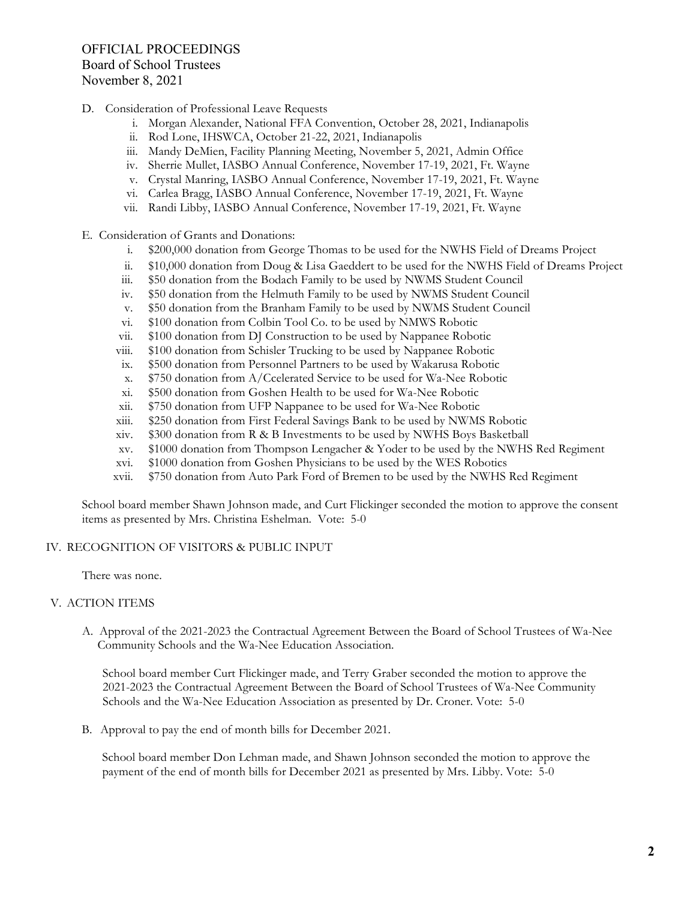- D. Consideration of Professional Leave Requests
	- i. Morgan Alexander, National FFA Convention, October 28, 2021, Indianapolis
	- ii. Rod Lone, IHSWCA, October 21-22, 2021, Indianapolis
	- iii. Mandy DeMien, Facility Planning Meeting, November 5, 2021, Admin Office
	- iv. Sherrie Mullet, IASBO Annual Conference, November 17-19, 2021, Ft. Wayne
	- v. Crystal Manring, IASBO Annual Conference, November 17-19, 2021, Ft. Wayne
	- vi. Carlea Bragg, IASBO Annual Conference, November 17-19, 2021, Ft. Wayne
	- vii. Randi Libby, IASBO Annual Conference, November 17-19, 2021, Ft. Wayne
- E. Consideration of Grants and Donations:
	- i. \$200,000 donation from George Thomas to be used for the NWHS Field of Dreams Project
	- ii. \$10,000 donation from Doug & Lisa Gaeddert to be used for the NWHS Field of Dreams Project
	- iii. \$50 donation from the Bodach Family to be used by NWMS Student Council
	- iv. \$50 donation from the Helmuth Family to be used by NWMS Student Council
	- v. \$50 donation from the Branham Family to be used by NWMS Student Council
	- vi. \$100 donation from Colbin Tool Co. to be used by NMWS Robotic
	- vii. \$100 donation from DJ Construction to be used by Nappanee Robotic
	- viii. \$100 donation from Schisler Trucking to be used by Nappanee Robotic
	- ix. \$500 donation from Personnel Partners to be used by Wakarusa Robotic
	- x. \$750 donation from A/Ccelerated Service to be used for Wa-Nee Robotic
	- xi. \$500 donation from Goshen Health to be used for Wa-Nee Robotic
	- xii. \$750 donation from UFP Nappanee to be used for Wa-Nee Robotic
	- xiii. \$250 donation from First Federal Savings Bank to be used by NWMS Robotic
	- xiv. \$300 donation from R & B Investments to be used by NWHS Boys Basketball
	- xv. \$1000 donation from Thompson Lengacher & Yoder to be used by the NWHS Red Regiment
	- xvi. \$1000 donation from Goshen Physicians to be used by the WES Robotics
	- xvii. \$750 donation from Auto Park Ford of Bremen to be used by the NWHS Red Regiment

School board member Shawn Johnson made, and Curt Flickinger seconded the motion to approve the consent items as presented by Mrs. Christina Eshelman. Vote: 5-0

# IV. RECOGNITION OF VISITORS & PUBLIC INPUT

There was none.

# V. ACTION ITEMS

A. Approval of the 2021-2023 the Contractual Agreement Between the Board of School Trustees of Wa-Nee Community Schools and the Wa-Nee Education Association.

School board member Curt Flickinger made, and Terry Graber seconded the motion to approve the 2021-2023 the Contractual Agreement Between the Board of School Trustees of Wa-Nee Community Schools and the Wa-Nee Education Association as presented by Dr. Croner. Vote: 5-0

B. Approval to pay the end of month bills for December 2021.

School board member Don Lehman made, and Shawn Johnson seconded the motion to approve the payment of the end of month bills for December 2021 as presented by Mrs. Libby. Vote: 5-0